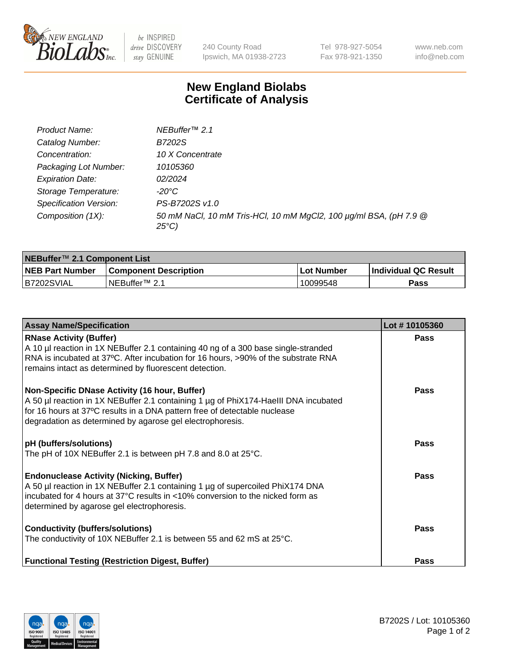

be INSPIRED drive DISCOVERY stay GENUINE

240 County Road Ipswich, MA 01938-2723 Tel 978-927-5054 Fax 978-921-1350 www.neb.com info@neb.com

## **New England Biolabs Certificate of Analysis**

| Product Name:           | NEBuffer <sup>™</sup> 2.1                                                          |
|-------------------------|------------------------------------------------------------------------------------|
| Catalog Number:         | B7202S                                                                             |
| Concentration:          | 10 X Concentrate                                                                   |
| Packaging Lot Number:   | 10105360                                                                           |
| <b>Expiration Date:</b> | 02/2024                                                                            |
| Storage Temperature:    | -20°C                                                                              |
| Specification Version:  | PS-B7202S v1.0                                                                     |
| Composition (1X):       | 50 mM NaCl, 10 mM Tris-HCl, 10 mM MgCl2, 100 µg/ml BSA, (pH 7.9 @<br>$25^{\circ}C$ |

| NEBuffer <sup>™</sup> 2.1 Component List |                              |                   |                      |  |  |
|------------------------------------------|------------------------------|-------------------|----------------------|--|--|
| <b>NEB Part Number</b>                   | <b>Component Description</b> | <b>Lot Number</b> | Individual QC Result |  |  |
| B7202SVIAL                               | NEBuffer™ 2.1                | 10099548          | <b>Pass</b>          |  |  |

| <b>Assay Name/Specification</b>                                                                                                                                                                                                                                                | Lot #10105360 |
|--------------------------------------------------------------------------------------------------------------------------------------------------------------------------------------------------------------------------------------------------------------------------------|---------------|
| <b>RNase Activity (Buffer)</b><br>A 10 µl reaction in 1X NEBuffer 2.1 containing 40 ng of a 300 base single-stranded<br>RNA is incubated at 37°C. After incubation for 16 hours, >90% of the substrate RNA<br>remains intact as determined by fluorescent detection.           | <b>Pass</b>   |
| Non-Specific DNase Activity (16 hour, Buffer)<br>A 50 µl reaction in 1X NEBuffer 2.1 containing 1 µg of PhiX174-HaellI DNA incubated<br>for 16 hours at 37°C results in a DNA pattern free of detectable nuclease<br>degradation as determined by agarose gel electrophoresis. | <b>Pass</b>   |
| pH (buffers/solutions)<br>The pH of 10X NEBuffer 2.1 is between pH 7.8 and 8.0 at 25°C.                                                                                                                                                                                        | Pass          |
| <b>Endonuclease Activity (Nicking, Buffer)</b><br>A 50 µl reaction in 1X NEBuffer 2.1 containing 1 µg of supercoiled PhiX174 DNA<br>incubated for 4 hours at 37°C results in <10% conversion to the nicked form as<br>determined by agarose gel electrophoresis.               | Pass          |
| <b>Conductivity (buffers/solutions)</b><br>The conductivity of 10X NEBuffer 2.1 is between 55 and 62 mS at 25°C.                                                                                                                                                               | Pass          |
| <b>Functional Testing (Restriction Digest, Buffer)</b>                                                                                                                                                                                                                         | Pass          |